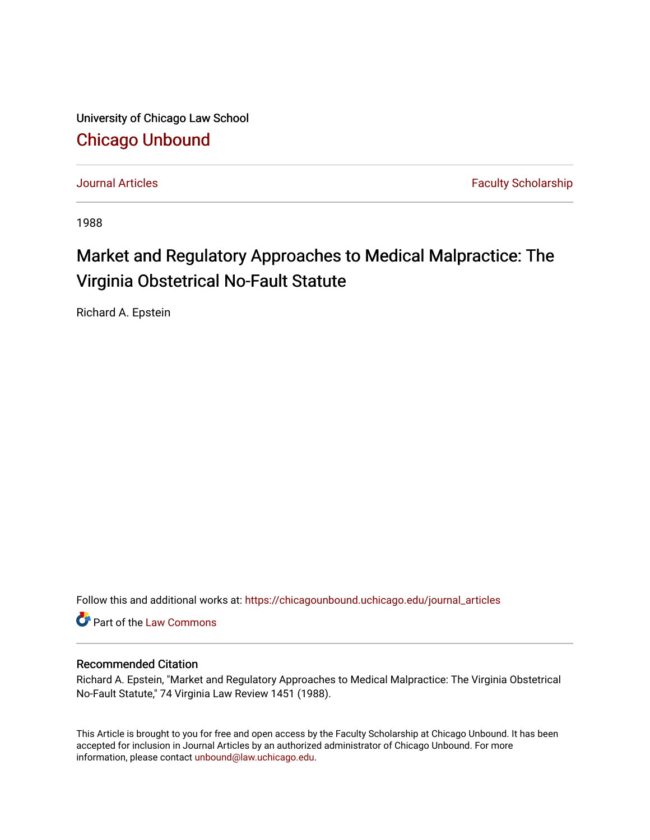University of Chicago Law School [Chicago Unbound](https://chicagounbound.uchicago.edu/)

[Journal Articles](https://chicagounbound.uchicago.edu/journal_articles) **Faculty Scholarship Journal Articles** 

1988

# Market and Regulatory Approaches to Medical Malpractice: The Virginia Obstetrical No-Fault Statute

Richard A. Epstein

Follow this and additional works at: [https://chicagounbound.uchicago.edu/journal\\_articles](https://chicagounbound.uchicago.edu/journal_articles?utm_source=chicagounbound.uchicago.edu%2Fjournal_articles%2F1321&utm_medium=PDF&utm_campaign=PDFCoverPages) 

Part of the [Law Commons](http://network.bepress.com/hgg/discipline/578?utm_source=chicagounbound.uchicago.edu%2Fjournal_articles%2F1321&utm_medium=PDF&utm_campaign=PDFCoverPages)

## Recommended Citation

Richard A. Epstein, "Market and Regulatory Approaches to Medical Malpractice: The Virginia Obstetrical No-Fault Statute," 74 Virginia Law Review 1451 (1988).

This Article is brought to you for free and open access by the Faculty Scholarship at Chicago Unbound. It has been accepted for inclusion in Journal Articles by an authorized administrator of Chicago Unbound. For more information, please contact [unbound@law.uchicago.edu](mailto:unbound@law.uchicago.edu).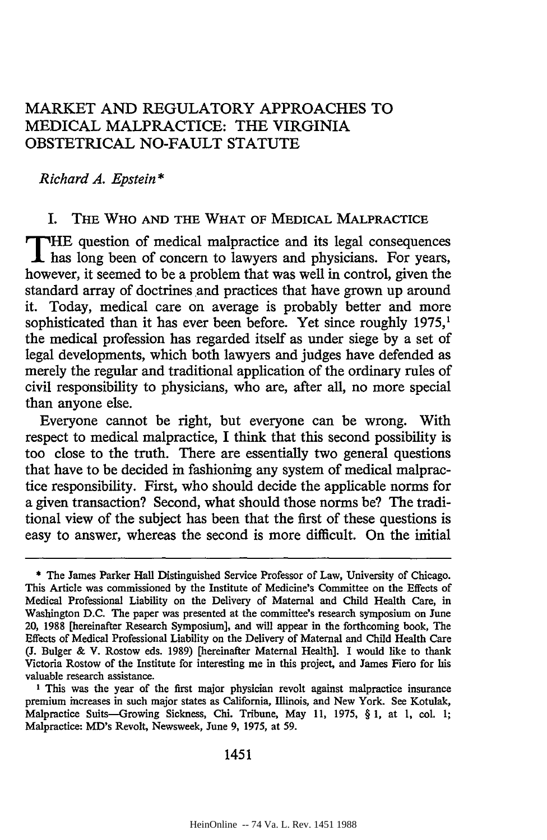## MARKET AND REGULATORY APPROACHES TO MEDICAL MALPRACTICE: THE VIRGINIA OBSTETRICAL NO-FAULT STATUTE

*Richard A. Epstein\**

## I. THE WHO **AND** THE WHAT OF MEDICAL MALPRACTICE

THE question of medical malpractice and its legal consequences has long been of concern to lawyers and physicians. For years, however, it seemed to be a problem that was well in control, given the standard array of doctrines and practices that have grown up around it. Today, medical care on average is probably better and more sophisticated than it has ever been before. Yet since roughly 1975,<sup>1</sup> the medical profession has regarded itself as under siege by a set of legal developments, which both lawyers and judges have defended as merely the regular and traditional application of the ordinary rules of civil responsibility to physicians, who are, after all, no more special than anyone else.

Everyone cannot be right, but everyone can be wrong. With respect to medical malpractice, I think that this second possibility is too close to the truth. There are essentially two general questions that have to be decided in fashioning any system of medical malpractice responsibility. First, who should decide the applicable norms for a given transaction? Second, what should those norms be? The traditional view of the subject has been that the first of these questions is easy to answer, whereas the second is more difficult. On the initial

<sup>\*</sup> The James Parker Hall Distinguished Service Professor of Law, University of Chicago. This Article was commissioned by the Institute of Medicine's Committee on the Effects of Medical Professional Liability on the Delivery of Maternal and Child Health Care, in Washington D.C. The paper was presented at the committee's research symposium on June 20, 1988 [hereinafter Research Symposium], and will appear in the forthcoming book, The Effects of Medical Professional Liability on the Delivery of Maternal and Child Health Care (J. Bulger & V. Rostow eds. 1989) [hereinafter Maternal Health]. I would like to thank Victoria Rostow of the Institute for interesting me in this project, and James Fiero for his valuable research assistance.

<sup>&</sup>lt;sup>1</sup> This was the year of the first major physician revolt against malpractice insurance premium increases in such major states as California, Illinois, and New York. See Kotulak, Malpractice Suits-Growing Sickness, Chi. Tribune, May **11,** 1975, § 1, at 1, col. **1;** Malpractice: MD's Revolt, Newsweek, June 9, 1975, at 59.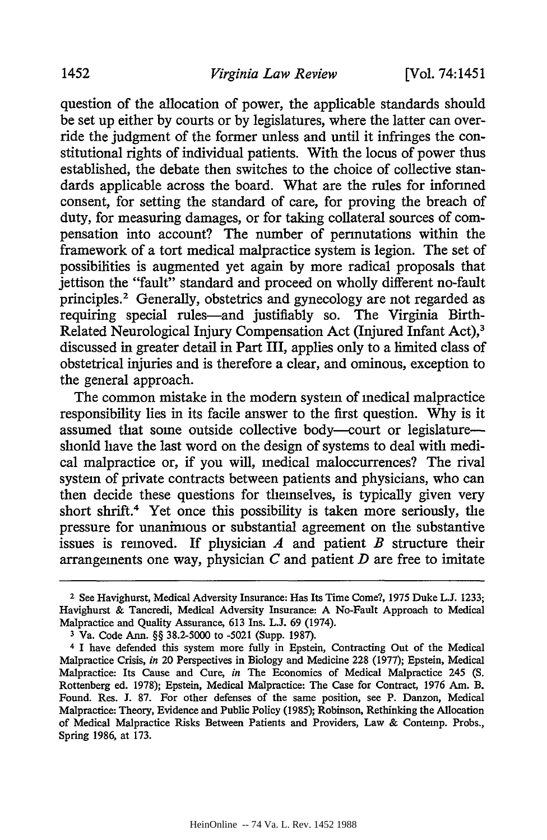question of the allocation of power, the applicable standards should be set up either by courts or by legislatures, where the latter can override the judgment of the former unless and until it infringes the constitutional rights of individual patients. With the locus of power thus established, the debate then switches to the choice of collective standards applicable across the board. What are the rules for informed consent, for setting the standard of care, for proving the breach of duty, for measuring damages, or for taking collateral sources of compensation into account? The number of permutations within the framework of a tort medical malpractice system is legion. The set of possibilities is augmented yet again by more radical proposals that jettison the "fault" standard and proceed on wholly different no-fault principles.2 Generally, obstetrics and gynecology are not regarded as requiring special rules-and justifiably so. The Virginia Birth-Related Neurological Injury Compensation Act (Injured Infant Act),3 discussed in greater detail in Part III, applies only to a limited class of obstetrical injuries and is therefore a clear, and ominous, exception to the general approach.

The common mistake in the modem system of medical malpractice responsibility lies in its facile answer to the first question. Why is it assumed that some outside collective body—court or legislature should have the last word on the design of systems to deal with medical malpractice or, if you will, medical maloccurrences? The rival system of private contracts between patients and physicians, who can then decide these questions for themselves, is typically given very short shrift.<sup>4</sup> Yet once this possibility is taken more seriously, the pressure for unanimous or substantial agreement on the substantive issues is removed. If physician *A* and patient *B* structure their arrangements one way, physician *C* and patient *D* are free to imitate

**<sup>2</sup>** See Havighurst, Medical Adversity Insurance: Has Its Time Come?, 1975 Duke **L.J.** 1233; Havighurst & Tancredi, Medical Adversity Insurance: A No-Fault Approach to Medical Malpractice and Quality Assurance, 613 Ins. L.J. 69 (1974).

**<sup>3</sup>** Va. Code Ann. §§ 38.2-5000 to -5021 (Supp. 1987).

<sup>4</sup> I have defended this system more fully in Epstein, Contracting Out of the Medical Malpractice Crisis, *in* 20 Perspectives in Biology and Medicine 228 (1977); Epstein, Medical Malpractice: Its Cause and Cure, *in* The Economics of Medical Malpractice 245 (S. Rottenberg ed. 1978); Epstein, Medical Malpractice: The Case for Contract, 1976 Am. B. Found. Res. J. 87. For other defenses of the same position, see P. Danzon, Medical Malpractice: Theory, Evidence and Public Policy (1985); Robinson, Rethinking the Allocation of Medical Malpractice Risks Between Patients and Providers, Law & Contemp. Probs., Spring 1986, at 173.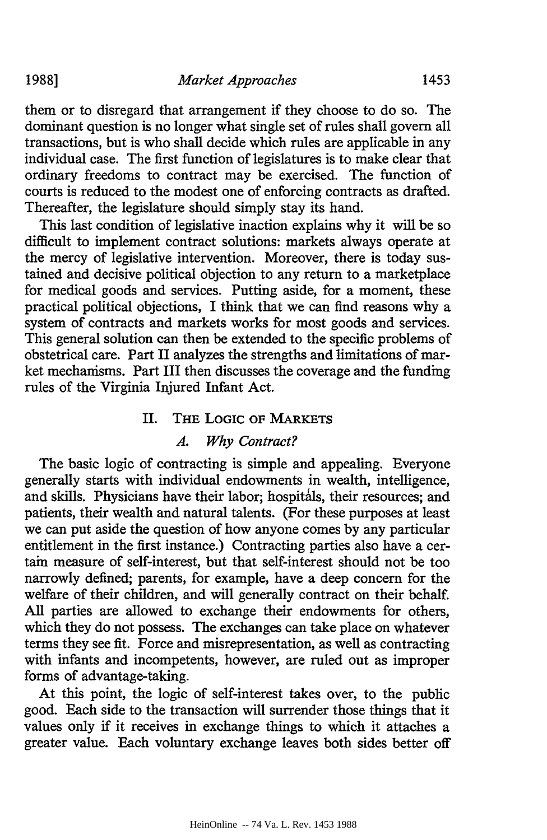them or to disregard that arrangement if they choose to do so. The dominant question is no longer what single set of rules shall govern all transactions, but is who shall decide which rules are applicable in any individual case. The first function of legislatures is to make clear that ordinary freedoms to contract may be exercised. The function of courts is reduced to the modest one of enforcing contracts as drafted. Thereafter, the legislature should simply stay its hand.

This last condition of legislative inaction explains why it will be so difficult to implement contract solutions: markets always operate at the mercy of legislative intervention. Moreover, there is today sustained and decisive political objection to any return to a marketplace for medical goods and services. Putting aside, for a moment, these practical political objections, I think that we can find reasons why a system of contracts and markets works for most goods and services. This general solution can then be extended to the specific problems of obstetrical care. Part II analyzes the strengths and limitations of market mechanisms. Part III then discusses the coverage and the funding rules of the Virginia Injured Infant Act.

## II. THE LOGIC **OF** MARKETS

## *A. Why Contract?*

The basic logic of contracting is simple and appealing. Everyone generally starts with individual endowments in wealth, intelligence, and skills. Physicians have their labor; hospitals, their resources; and patients, their wealth and natural talents. (For these purposes at least we can put aside the question of how anyone comes **by** any particular entitlement in the first instance.) Contracting parties also have a certain measure of self-interest, but that self-interest should not be too narrowly defined; parents, for example, have a deep concern for the welfare of their children, and will generally contract on their behalf. **All** parties are allowed to exchange their endowments for others, which they do not possess. The exchanges can take place on whatever terms they see fit. Force and misrepresentation, as well as contracting with infants and incompetents, however, are ruled out as improper forms of advantage-taking.

At this point, the logic of self-interest takes over, to the public good. Each side to the transaction will surrender those things that it values only if it receives in exchange things to which it attaches a greater value. Each voluntary exchange leaves both sides better off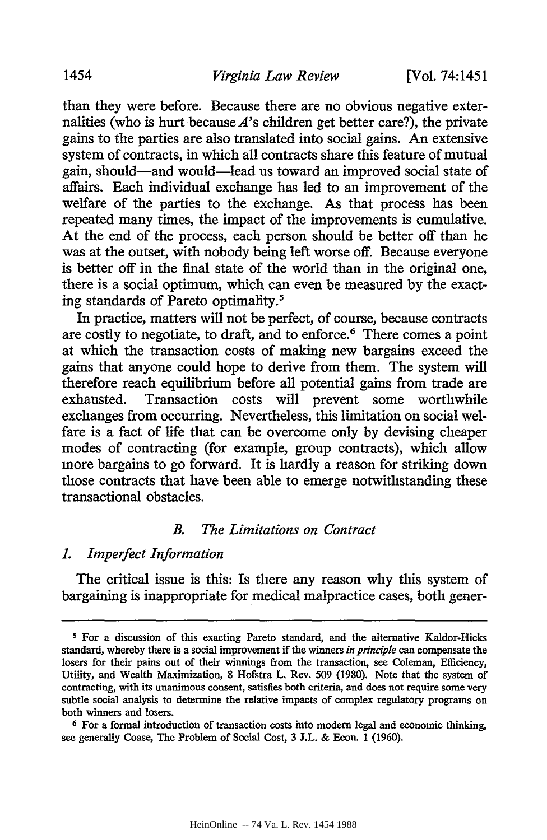than they were before. Because there are no obvious negative externalities (who is hurt because *A's* children get better care?), the private gains to the parties are also translated into social gains. An extensive system of contracts, in which all contracts share this feature of mutual gain, should-and would-lead us toward an improved social state of affairs. Each individual exchange has led to an improvement of the welfare of the parties to the exchange. As that process has been repeated many times, the impact of the improvements is cumulative. At the end of the process, each person should be better off than he was at the outset, with nobody being left worse off. Because everyone is better off in the final state of the world than in the original one, there is a social optimum, which can even be measured by the exacting standards of Pareto optimality.

In practice, matters will not be perfect, of course, because contracts are costly to negotiate, to draft, and to enforce.<sup>6</sup> There comes a point at which the transaction costs of making new bargains exceed the gains that anyone could hope to derive from them. The system will therefore reach equilibrium before all potential gains from trade are exhausted. Transaction costs will prevent some worthwhile exchanges from occurring. Nevertheless, this limitation on social welfare is a fact of life that can be overcome only by devising cheaper modes of contracting (for example, group contracts), which allow more bargains to go forward. It is hardly a reason for striking down those contracts that have been able to emerge notwithstanding these transactional obstacles.

## *B. The Limitations on Contract*

#### *1. Imperfect Information*

The critical issue is this: Is there any reason why this system of bargaining is inappropriate for medical malpractice cases, both gener-

**<sup>5</sup>** For a discussion of this exacting Pareto standard, and the alternative Kaldor-Hicks standard, whereby there is a social improvement if the winners *in principle* can compensate the losers for their pains out of their winnings from the transaction, see Coleman, Efficiency, Utility, and Wealth Maximization, **8** Hofstra L. Rev. 509 (1980). Note that the system of contracting, with its unanimous consent, satisfies both criteria, and does not require some very subtle social analysis to determine the relative impacts of complex regulatory programs on both winners and losers.

**<sup>6</sup>** For a formal introduction of transaction costs into modem legal and economic thinking, see generally Coase, The Problem of Social Cost, 3 J.L. & Econ. 1 (1960).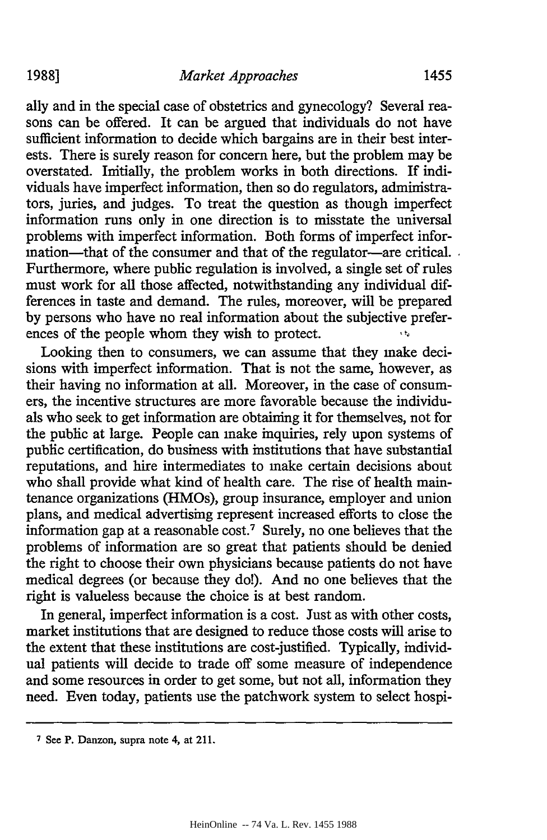ally and in the special case of obstetrics and gynecology? Several reasons can be offered. It can be argued that individuals do not have sufficient information to decide which bargains are in their best interests. There is surely reason for concern here, but the problem may be overstated. Initially, the problem works in both directions. If individuals have imperfect information, then so do regulators, administrators, juries, and judges. To treat the question as though imperfect information runs only in one direction is to misstate the universal problems with imperfect information. Both forms of imperfect information—that of the consumer and that of the regulator—are critical. Furthermore, where public regulation is involved, a single set of rules must work for all those affected, notwithstanding any individual differences in taste and demand. The rules, moreover, will be prepared by persons who have no real information about the subjective preferences of the people whom they wish to protect.

Looking then to consumers, we can assume that they make decisions with imperfect information. That is not the same, however, as their having no information at all. Moreover, in the case of consumers, the incentive structures are more favorable because the individuals who seek to get information are obtaining it for themselves, not for the public at large. People can make inquiries, rely upon systems of public certification, do business with institutions that have substantial reputations, and hire intermediates to make certain decisions about who shall provide what kind of health care. The rise of health maintenance organizations (HMOs), group insurance, employer and union plans, and medical advertising represent increased efforts to close the information gap at a reasonable cost.7 Surely, no one believes that the problems of information are so great that patients should be denied the right to choose their own physicians because patients do not have medical degrees (or because they do!). And no one believes that the right is valueless because the choice is at best random.

In general, imperfect information is a cost. Just as with other costs, market institutions that are designed to reduce those costs will arise to the extent that these institutions are cost-justified. Typically, individual patients will decide to trade off some measure of independence and some resources in order to get some, but not all, information they need. Even today, patients use the patchwork system to select hospi-

**<sup>7</sup>** See P. Danzon, supra note 4, at 211.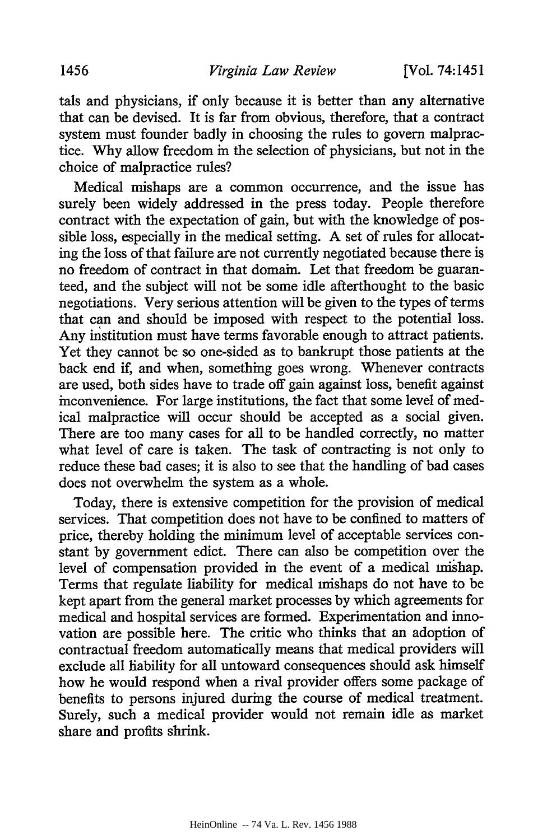tals and physicians, if only because it is better than any alternative that can be devised. It is far from obvious, therefore, that a contract system must founder badly in choosing the rules to govern malpractice. Why allow freedom in the selection of physicians, but not in the choice of malpractice rules?

Medical mishaps are a common occurrence, and the issue has surely been widely addressed in the press today. People therefore contract with the expectation of gain, but with the knowledge of possible loss, especially in the medical setting. A set of rules for allocating the loss of that failure are not currently negotiated because there is no freedom of contract in that domain. Let that freedom be guaranteed, and the subject will not be some idle afterthought to the basic negotiations. Very serious attention will be given to the types of terms that can and should be imposed with respect to the potential loss. Any institution must have terms favorable enough to attract patients. Yet they cannot be so one-sided as to bankrupt those patients at the back end if, and when, something goes wrong. Whenever contracts are used, both sides have to trade off gain against loss, benefit against inconvenience. For large institutions, the fact that some level of medical malpractice will occur should be accepted as a social given. There are too many cases for all to be handled correctly, no matter what level of care is taken. The task of contracting is not only to reduce these bad cases; it is also to see that the handling of bad cases does not overwhelm the system as a whole.

Today, there is extensive competition for the provision of medical services. That competition does not have to be confined to matters of price, thereby holding the minimum level of acceptable services constant by government edict. There can also be competition over the level of compensation provided in the event of a medical mishap. Terms that regulate liability for medical mishaps do not have to be kept apart from the general market processes by which agreements for medical and hospital services are formed. Experimentation and innovation are possible here. The critic who thinks that an adoption of contractual freedom automatically means that medical providers will exclude all liability for all untoward consequences should ask himself how he would respond when a rival provider offers some package of benefits to persons injured during the course of medical treatment. Surely, such a medical provider would not remain idle as market share and profits shrink.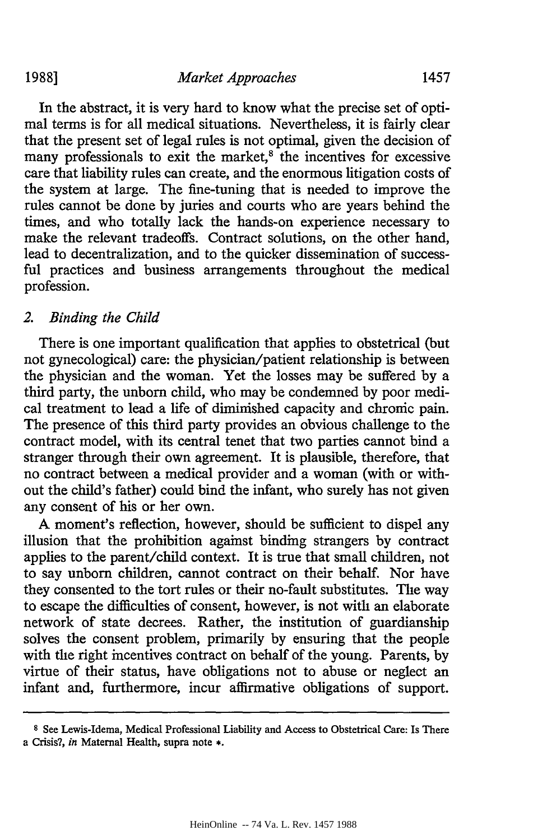*Market Approaches* **1988]** 1457

In the abstract, it is very hard to know what the precise set of optimal terms is for all medical situations. Nevertheless, it is fairly clear that the present set of legal rules is not optimal, given the decision of many professionals to exit the market, $8$  the incentives for excessive care that liability rules can create, and the enormous litigation costs of the system at large. The fine-tuning that is needed to improve the rules cannot be done by juries and courts who are years behind the times, and who totally lack the hands-on experience necessary to make the relevant tradeoffs. Contract solutions, on the other hand, lead to decentralization, and to the quicker dissemination of successful practices and business arrangements throughout the medical profession.

## *2. Binding the Child*

There is one important qualification that applies to obstetrical (but not gynecological) care: the physician/patient relationship is between the physician and the woman. Yet the losses may be suffered by a third party, the unborn child, who may be condemned by poor medical treatment to lead a life of diminished capacity and chronic pain. The presence of this third party provides an obvious challenge to the contract model, with its central tenet that two parties cannot bind a stranger through their own agreement. It is plausible, therefore, that no contract between a medical provider and a woman (with or without the child's father) could bind the infant, who surely has not given any consent of his or her own.

A moment's reflection, however, should be sufficient to dispel any illusion that the prohibition against binding strangers by contract applies to the parent/child context. It is true that small children, not to say unborn children, cannot contract on their behalf. Nor have they consented to the tort rules or their no-fault substitutes. The way to escape the difficulties of consent, however, is not with an elaborate network of state decrees. Rather, the institution of guardianship solves the consent problem, primarily by ensuring that the people with the right incentives contract on behalf of the young. Parents, by virtue of their status, have obligations not to abuse or neglect an infant and, furthermore, incur affirmative obligations of support.

**<sup>8</sup>** See Lewis-Idema, Medical Professional Liability and Access to Obstetrical Care: Is There a Crisis?, *in* Maternal Health, supra note **\*.**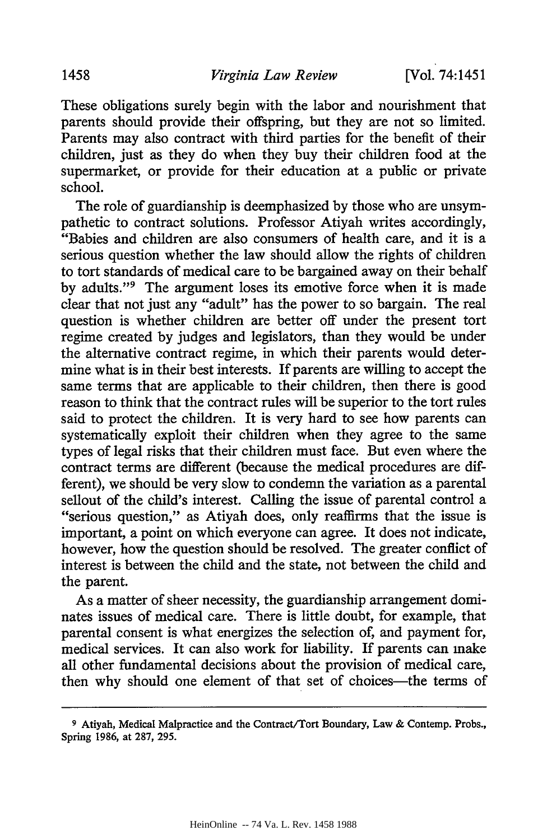These obligations surely begin with the labor and nourishment that parents should provide their offspring, but they are not so limited. Parents may also contract with third parties for the benefit of their children, just as they do when they buy their children food at the supermarket, or provide for their education at a public or private school.

The role of guardianship is deemphasized by those who are unsympathetic to contract solutions. Professor Atiyah writes accordingly, "Babies and children are also consumers of health care, and it is a serious question whether the law should allow the rights of children to tort standards of medical care to be bargained away on their behalf by adults."<sup>9</sup> The argument loses its emotive force when it is made clear that not just any "adult" has the power to so bargain. The real question is whether children are better off under the present tort regime created by judges and legislators, than they would be under the alternative contract regime, in which their parents would determine what is in their best interests. If parents are willing to accept the same terms that are applicable to their children, then there is good reason to think that the contract rules will be superior to the tort rules said to protect the children. It is very hard to see how parents can systematically exploit their children when they agree to the same types of legal risks that their children must face. But even where the contract terms are different (because the medical procedures are different), we should be very slow to condemn the variation as a parental sellout of the child's interest. Calling the issue of parental control a "serious question," as Atiyah does, only reaffirms that the issue is important, a point on which everyone can agree. It does not indicate, however, how the question should be resolved. The greater conflict of interest is between the child and the state, not between the child and the parent.

As a matter of sheer necessity, the guardianship arrangement dominates issues of medical care. There is little doubt, for example, that parental consent is what energizes the selection of, and payment for, medical services. It can also work for liability. If parents can make all other fundamental decisions about the provision of medical care, then why should one element of that set of choices—the terms of

**<sup>9</sup>** Atiyah, Medical Malpractice and the Contract/Tort Boundary, Law & Contemp. Probs., Spring 1986, at 287, 295.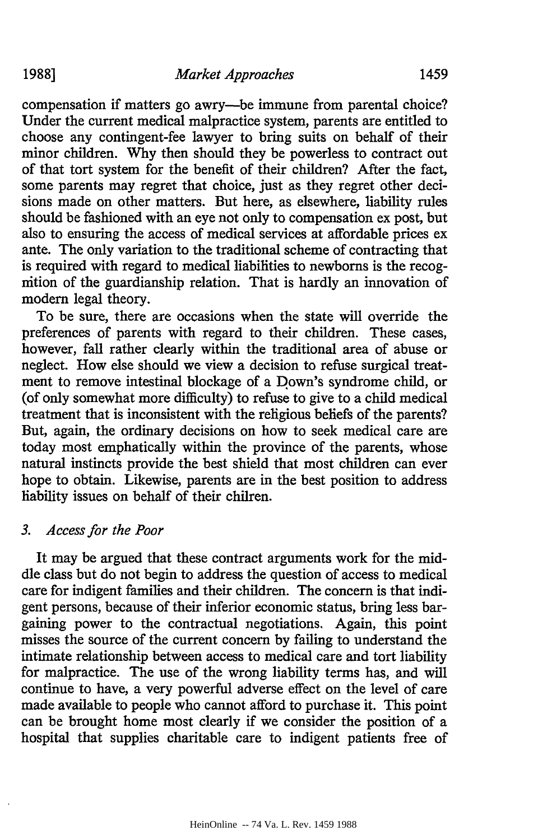compensation if matters go awry-be immune from parental choice? Under the current medical malpractice system, parents are entitled to choose any contingent-fee lawyer to bring suits on behalf of their minor children. Why then should they be powerless to contract out of that tort system for the benefit of their children? After the fact, some parents may regret that choice, just as they regret other decisions made on other matters. But here, as elsewhere, liability rules should be fashioned with an eye not only to compensation ex post, but also to ensuring the access of medical services at affordable prices ex ante. The only variation to the traditional scheme of contracting that is required with regard to medical liabilities to newborns is the recognition of the guardianship relation. That is hardly an innovation of modern legal theory.

To be sure, there are occasions when the state will override the preferences of parents with regard to their children. These cases, however, fall rather clearly within the traditional area of abuse or neglect. How else should we view a decision to refuse surgical treatment to remove intestinal blockage of a Down's syndrome child, or (of only somewhat more difficulty) to refuse to give to a child medical treatment that is inconsistent with the religious beliefs of the parents? But, again, the ordinary decisions on how to seek medical care are today most emphatically within the province of the parents, whose natural instincts provide the best shield that most children can ever hope to obtain. Likewise, parents are in the best position to address liability issues on behalf of their chilren.

#### *3. Access for the Poor*

It may be argued that these contract arguments work for the middle class but do not begin to address the question of access to medical care for indigent families and their children. The concern is that indigent persons, because of their inferior economic status, bring less bargaining power to the contractual negotiations. Again, this point misses the source of the current concern by failing to understand the intimate relationship between access to medical care and tort liability for malpractice. The use of the wrong liability terms has, and will continue to have, a very powerful adverse effect on the level of care made available to people who cannot afford to purchase it. This point can be brought home most clearly if we consider the position of a hospital that supplies charitable care to indigent patients free of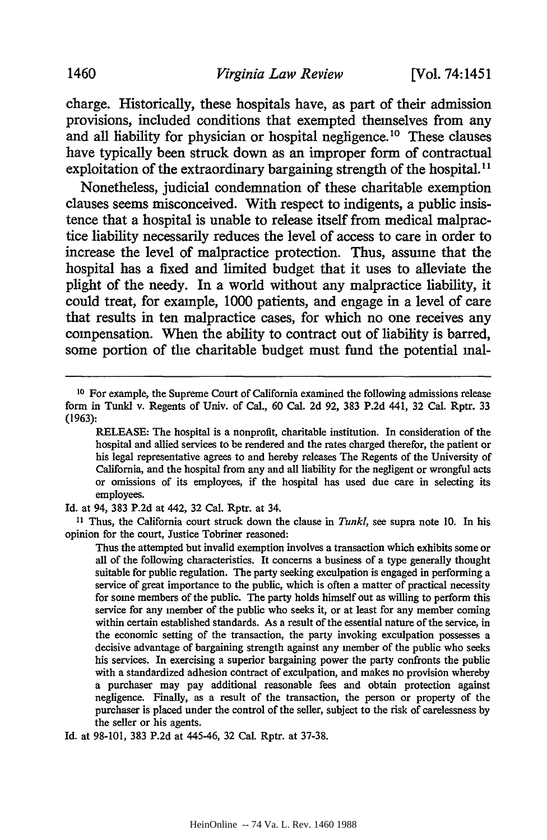charge. Historically, these hospitals have, as part of their admission provisions, included conditions that exempted themselves from any and all liability for physician or hospital negligence.<sup>10</sup> These clauses have typically been struck down as an improper form of contractual exploitation of the extraordinary bargaining strength of the hospital.<sup>11</sup>

Nonetheless, judicial condemnation of these charitable exemption clauses seems misconceived. With respect to indigents, a public insistence that a hospital is unable to release itself from medical malpractice liability necessarily reduces the level of access to care in order to increase the level of malpractice protection. Thus, assume that the hospital has a fixed and limited budget that it uses to alleviate the plight of the needy. In a world without any malpractice liability, it could treat, for example, **1000** patients, and engage in a level of care that results in ten malpractice cases, for which no one receives any compensation. When the ability to contract out of liability is barred, some portion of the charitable budget must fund the potential mal-

Id. at 94, 383 P.2d at 442, 32 Cal. Rptr. at 34.

**1** Thus, the California court strnck down the clause in *Tunkl,* see supra note **10.** In his opinion for the court, Justice Tobriner reasoned:

Thus the attempted but invalid exemption involves a transaction which exhibits some or all of the following characteristics. It concerns a business of a type generally thought suitable for public regulation. The party seeking exculpation is engaged in performing a service of great importance to the public, which is often a matter of practical necessity for some members of the public. The party holds himself out as willing to perform this service for any member of the public who seeks it, or at least for any member coming within certain established standards. As a result of the essential nature of the service, in the economic setting of the transaction, the party invoking exculpation possesses a decisive advantage of bargaining strength against any member of the public who seeks his services. In exercising a superior bargaining power the party confronts the public with a standardized adhesion contract of exculpation, and makes no provision whereby a purchaser may pay additional reasonable fees and obtain protection against negligence. Finally, as a result of the transaction, the person or property of the purchaser is placed under the control of the seller, subject to the risk of carelessness by the seller or his agents.

Id. at 98-101, 383 P.2d at 445-46, 32 Cal. Rptr. at 37-38.

**<sup>10</sup>**For example, the Supreme Court of California examined the following admissions release form in Tunkl v. Regents of Univ. of Cal., 60 Cal. 2d 92, 383 P.2d 441, 32 Cal. Rptr. 33 (1963):

**RELEASE:** The hospital is a nonprofit, charitable institution. In consideration of the hospital and allied services to be rendered and the rates charged therefor, the patient or his legal representative agrees to and hereby releases The Regents of the University of California, and the hospital from any and all liability for the negligent or wrongful acts or omissions of its employees, if the hospital has used due care in selecting its employees.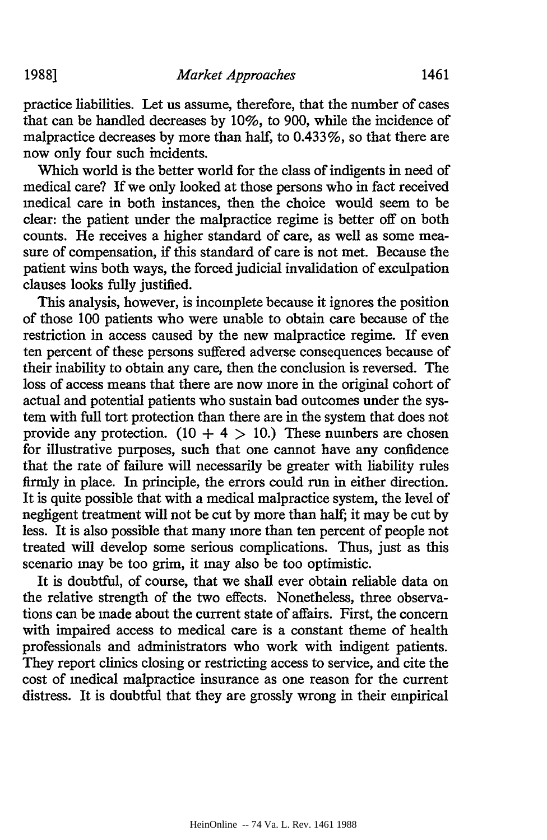practice liabilities. Let us assume, therefore, that the number of cases that can be handled decreases by 10%, to 900, while the incidence of malpractice decreases by more than half, to 0.433%, so that there are now only four such incidents.

Which world is the better world for the class of indigents in need of medical care? If we only looked at those persons who in fact received medical care in both instances, then the choice would seem to be clear: the patient under the malpractice regime is better off on both counts. He receives a higher standard of care, as well as some measure of compensation, if this standard of care is not met. Because the patient wins both ways, the forced judicial invalidation of exculpation clauses looks fully justified.

This analysis, however, is incomplete because it ignores the position of those 100 patients who were unable to obtain care because of the restriction in access caused by the new malpractice regime. If even ten percent of these persons suffered adverse consequences because of their inability to obtain any care, then the conclusion is reversed. The loss of access means that there are now more in the original cohort of actual and potential patients who sustain bad outcomes under the system with full tort protection than there are in the system that does not provide any protection.  $(10 + 4 > 10)$  These numbers are chosen for illustrative purposes, such that one cannot have any confidence that the rate of failure will necessarily be greater with liability rules firmly in place. In principle, the errors could run in either direction. It is quite possible that with a medical malpractice system, the level of negligent treatment will not be cut by more than half; it may be cut by less. It is also possible that many more than ten percent of people not treated will develop some serious complications. Thus, just as this scenario may be too grim, it may also be too optimistic.

It is doubtful, of course, that we shall ever obtain reliable data on the relative strength of the two effects. Nonetheless, three observations can be made about the current state of affairs. First, the concern with impaired access to medical care is a constant theme of health professionals and administrators who work with indigent patients. They report clinics closing or restricting access to service, and cite the cost of medical malpractice insurance as one reason for the current distress. It is doubtful that they are grossly wrong in their empirical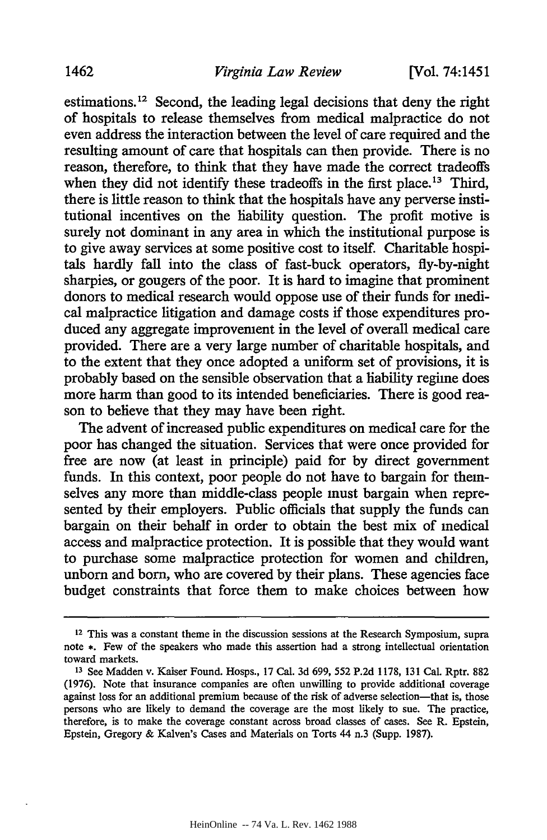estimations.12 Second, the leading legal decisions that deny the right of hospitals to release themselves from medical malpractice do not even address the interaction between the level of care required and the resulting amount of care that hospitals can then provide. There is no reason, therefore, to think that they have made the correct tradeoffs when they did not identify these tradeoffs in the first place.<sup>13</sup> Third, there is little reason to think that the hospitals have any perverse institutional incentives on the liability question. The profit motive is surely not dominant in any area in which the institutional purpose is to give away services at some positive cost to itself. Charitable hospitals hardly fall into the class of fast-buck operators, fly-by-night sharpies, or gougers of the poor. It is hard to imagine that prominent donors to medical research would oppose use of their funds for medical malpractice litigation and damage costs if those expenditures produced any aggregate improvement in the level of overall medical care provided. There are a very large number of charitable hospitals, and to the extent that they once adopted a uniform set of provisions, it is probably based on the sensible observation that a liability regime does more harm than good to its intended beneficiaries. There is good reason to believe that they may have been right.

The advent of increased public expenditures on medical care for the poor has changed the situation. Services that were once provided for free are now (at least in principle) paid for by direct government funds. In this context, poor people do not have to bargain for themselves any more than middle-class people must bargain when represented by their employers. Public officials that supply the funds can bargain on their behalf in order to obtain the best mix of medical access and malpractice protection. It is possible that they would want to purchase some malpractice protection for women and children, unborn and born, who are covered by their plans. These agencies face budget constraints that force them to make choices between how

<sup>&</sup>lt;sup>12</sup> This was a constant theme in the discussion sessions at the Research Symposium, supra note **\*.** Few of the speakers who made this assertion had a strong intellectual orientation toward markets.

**<sup>13</sup>** See Madden v. Kaiser Found. Hosps., 17 Cal. 3d 699, 552 P.2d 1178, 131 Cal. Rptr. 882 (1976). Note that insurance companies are often unwilling to provide additional coverage against loss for an additional premium because of the risk of adverse selection-that is, those persons who are likely to demand the coverage are the most likely to sue. The practice, therefore, is to make the coverage constant across broad classes of cases. See R. Epstein, Epstein, Gregory & Kalven's Cases and Materials on Torts 44 n.3 (Supp. 1987).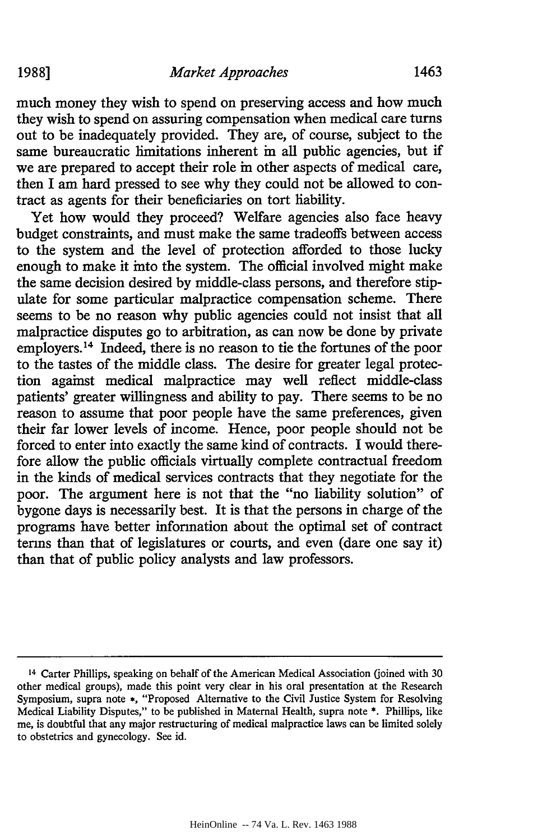much money they wish to spend on preserving access and how much they wish to spend on assuring compensation when medical care turns out to be inadequately provided. They are, of course, subject to the same bureaucratic limitations inherent in all public agencies, but if we are prepared to accept their role in other aspects of medical care, then I am hard pressed to see why they could not be allowed to contract as agents for their beneficiaries on tort liability.

Yet how would they proceed? Welfare agencies also face heavy budget constraints, and must make the same tradeoffs between access to the system and the level of protection afforded to those lucky enough to make it into the system. The official involved might make the same decision desired by middle-class persons, and therefore stipulate for some particular malpractice compensation scheme. There seems to be no reason why public agencies could not insist that all malpractice disputes go to arbitration, as can now be done by private employers.<sup>14</sup> Indeed, there is no reason to tie the fortunes of the poor to the tastes of the middle class. The desire for greater legal protection against medical malpractice may well reflect middle-class patients' greater willingness and ability to pay. There seems to be no reason to assume that poor people have the same preferences, given their far lower levels of income. Hence, poor people should not be forced to enter into exactly the same kind of contracts. I would therefore allow the public officials virtually complete contractual freedom in the kinds of medical services contracts that they negotiate for the poor. The argument here is not that the "no liability solution" of bygone days is necessarily best. It is that the persons in charge of the programs have better information about the optimal set of contract terms than that of legislatures or courts, and even (dare one say it) than that of public policy analysts and law professors.

<sup>14</sup> Carter Phillips, speaking on behalf of the American Medical Association (joined with **30** other medical groups), made this point very clear in his oral presentation at the Research Symposium, supra note \*, "Proposed Alternative to the Civil Justice System for Resolving Medical Liability Disputes," to be published in Maternal Health, supra note **\*.** Phillips, like me, is doubtful that any major restructuring of medical malpractice laws can be limited solely to obstetrics and gynecology. See id.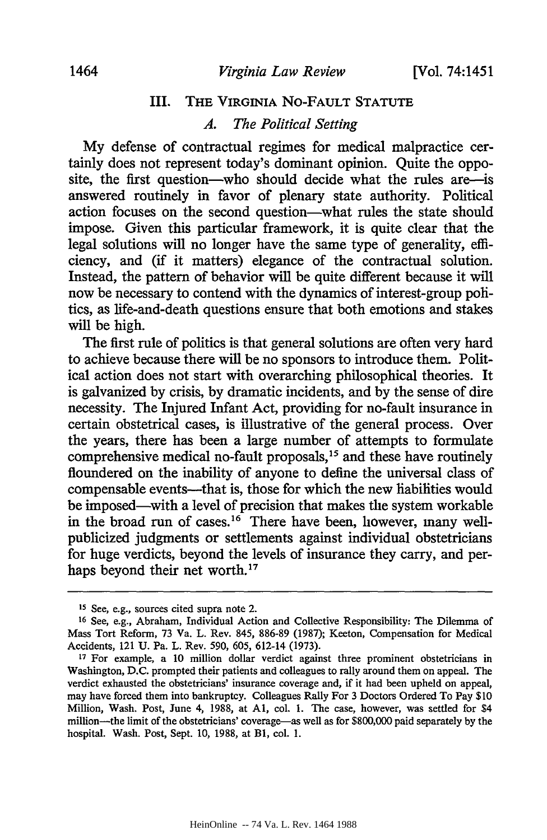## III. THE VIRGINIA NO-FAULT STATUTE

## *A. The Political Setting*

My defense of contractual regimes for medical malpractice certainly does not represent today's dominant opinion. Quite the opposite, the first question-who should decide what the rules are-is answered routinely in favor of plenary state authority. Political action focuses on the second question-what rules the state should impose. Given this particular framework, it is quite clear that the legal solutions will no longer have the same type of generality, efficiency, and (if it matters) elegance of the contractual solution. Instead, the pattern of behavior will be quite different because it will now be necessary to contend with the dynamics of interest-group politics, as life-and-death questions ensure that both emotions and stakes will be high.

The first rule of politics is that general solutions are often very hard to achieve because there will be no sponsors to introduce them. Political action does not start with overarching philosophical theories. It is galvanized by crisis, by dramatic incidents, and by the sense of dire necessity. The Injured Infant Act, providing for no-fault insurance in certain obstetrical cases, is illustrative of the general process. Over the years, there has been a large number of attempts to formulate comprehensive medical no-fault proposals, 15 and these have routinely floundered on the inability of anyone to define the universal class of compensable events—that is, those for which the new liabilities would be imposed-with a level of precision that makes the system workable in the broad run of cases.<sup>16</sup> There have been, however, many wellpublicized judgments or settlements against individual obstetricians for huge verdicts, beyond the levels of insurance they carry, and perhaps beyond their net worth.<sup>17</sup>

**<sup>15</sup>** See, e.g., sources cited supra note 2.

**<sup>16</sup>**See, e.g., Abraham, Individual Action and Collective Responsibility: The Dilemma of Mass Tort Reform, 73 Va. L. Rev. 845, 886-89 (1987); Keeton, Compensation for Medical Accidents, 121 U. Pa. L. Rev. 590, 605, 612-14 (1973).

**<sup>17</sup>** For example, a 10 million dollar verdict against three prominent obstetricians in Washington, D.C. prompted their patients and colleagues to rally around them on appeal. The verdict exhausted the obstetricians' insurance coverage and, if it had been upheld on appeal, may have forced them into bankruptcy. Colleagues Rally For 3 Doctors Ordered To Pay \$10 Million, Wash. Post, June 4, 1988, at **Al,** col. 1. The case, however, was settled for \$4 million-the limit of the obstetricians' coverage-as well as for \$800,000 paid separately by the hospital. Wash. Post, Sept. 10, 1988, at Bl, col. 1.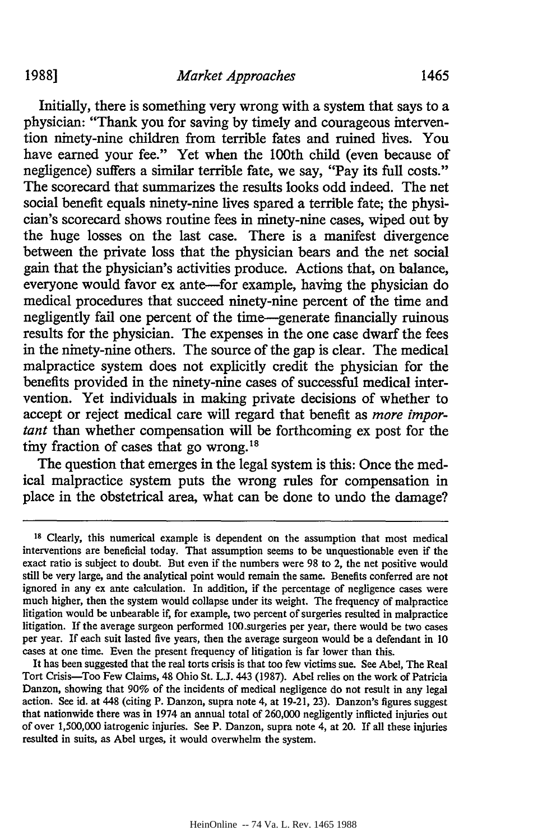Initially, there is something very wrong with a system that says to a physician: "Thank you for saving by timely and courageous intervention ninety-nine children from terrible fates and ruined lives. You have earned your fee." Yet when the 100th child (even because of negligence) suffers a similar terrible fate, we say, "Pay its full costs." The scorecard that summarizes the results looks odd indeed. The net social benefit equals ninety-nine lives spared a terrible fate; the physician's scorecard shows routine fees in ninety-nine cases, wiped out by the huge losses on the last case. There is a manifest divergence between the private loss that the physician bears and the net social gain that the physician's activities produce. Actions that, on balance, everyone would favor ex ante-for example, having the physician do medical procedures that succeed ninety-nine percent of the time and negligently fail one percent of the time-generate financially ruinous results for the physician. The expenses in the one case dwarf the fees in the ninety-nine others. The source of the gap is clear. The medical malpractice system does not explicitly credit the physician for the benefits provided in the ninety-nine cases of successful medical intervention. Yet individuals in making private decisions of whether to accept or reject medical care will regard that benefit as *more important* than whether compensation will be forthcoming ex post for the tiny fraction of cases that go wrong.<sup>18</sup>

The question that emerges in the legal system is this: Once the medical malpractice system puts the wrong rules for compensation in place in the obstetrical area, what can be done to undo the damage?

**<sup>18</sup>** Clearly, this numerical example is dependent on the assumption that most medical interventions are beneficial today. That assumption seems to be unquestionable even if the exact ratio is subject to doubt. But even if the numbers were 98 to 2, the net positive would still be very large, and the analytical point would remain the same. Benefits conferred are not ignored in any ex ante calculation. In addition, if the percentage of negligence cases were much higher, then the system would collapse under its weight. The frequency of malpractice litigation would be unbearable if, for example, two percent of surgeries resulted in malpractice litigation. If the average surgeon performed 100.surgeries per year, there would be two cases per year. If each suit lasted five years, then the average surgeon would be a defendant in 10 cases at one time. Even the present frequency of litigation is far lower than this.

It has been suggested that the real torts crisis is that too few victims sue. See Abel, The Real Tort Crisis-Too Few Claims, 48 Ohio St. L.J. 443 (1987). Abel relies on the work of Patricia Danzon, showing that 90% of the incidents of medical negligence do not result in any legal action. See id. at 448 (citing P. Danzon, supra note 4, at 19-21, 23). Danzon's figures suggest that nationwide there was in 1974 an annual total of 260,000 negligently inflicted injuries out of over 1,500,000 iatrogenic injuries. See P. Danzon, supra note 4, at 20. If all these injuries resulted in suits, as Abel urges, it would overwhelm the system.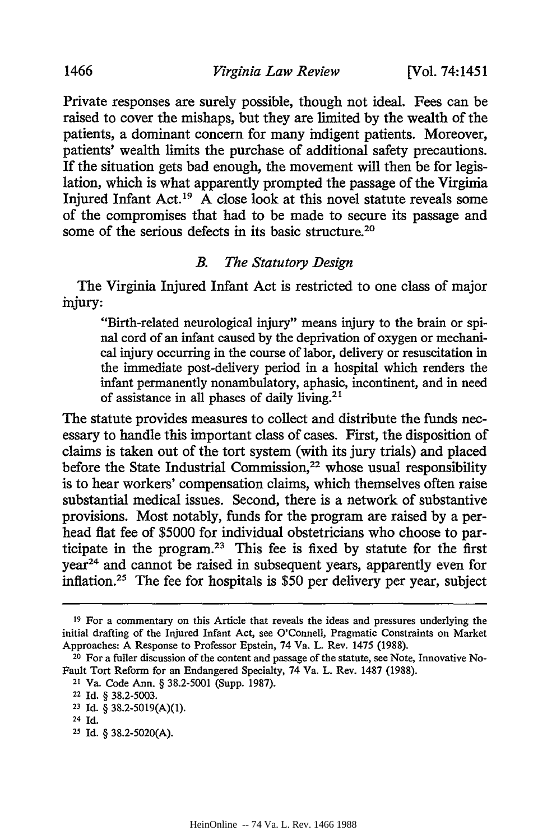Private responses are surely possible, though not ideal. Fees can be raised to cover the mishaps, but they are limited by the wealth of the patients, a dominant concern for many indigent patients. Moreover, patients' wealth limits the purchase of additional safety precautions. If the situation gets bad enough, the movement will then be for legislation, which is what apparently prompted the passage of the Virginia Injured Infant Act.19 A close look at this novel statute reveals some of the compromises that had to be made to secure its passage and some of the serious defects in its basic structure.<sup>20</sup>

#### *B. The Statutory Design*

The Virginia Injured Infant Act is restricted to one class of major injury:

"Birth-related neurological injury" means injury to the brain or spinal cord of an infant caused by the deprivation of oxygen or mechanical injury occurring in the course of labor, delivery or resuscitation in the immediate post-delivery period in a hospital which renders the infant permanently nonambulatory, aphasic, incontinent, and in need of assistance in all phases of daily living.<sup>21</sup>

The statute provides measures to collect and distribute the funds necessary to handle this important class of cases. First, the disposition of claims is taken out of the tort system (with its jury trials) and placed before the State Industrial Commission,<sup>22</sup> whose usual responsibility is to hear workers' compensation claims, which themselves often raise substantial medical issues. Second, there is a network of substantive provisions. Most notably, funds for the program are raised by a perhead flat fee of \$5000 for individual obstetricians who choose to participate in the program.<sup>23</sup> This fee is fixed by statute for the first year<sup>24</sup> and cannot be raised in subsequent years, apparently even for inflation.<sup>25</sup> The fee for hospitals is  $\$50$  per delivery per year, subject

**<sup>25</sup>**Id. § 38.2-5020(A).

**<sup>19</sup>** For a commentary on this Article that reveals the ideas and pressures underlying the initial drafting of the Injured Infant Act, see O'Connell, Pragmatic Constraints on Market Approaches: A Response to Professor Epstein, 74 Va. L. Rev. 1475 (1988).

**<sup>20</sup>** For a fuller discussion of the content and passage of the statute, see Note, Innovative No-Fault Tort Reform for an Endangered Specialty, 74 Va. L. Rev. 1487 (1988).

<sup>21</sup> Va. Code Ann. § 38.2-5001 (Supp. 1987).

<sup>22</sup> Id. § 38.2-5003.

**<sup>23</sup>**Id. § 38.2-5019(A)(1).

<sup>24</sup> Id.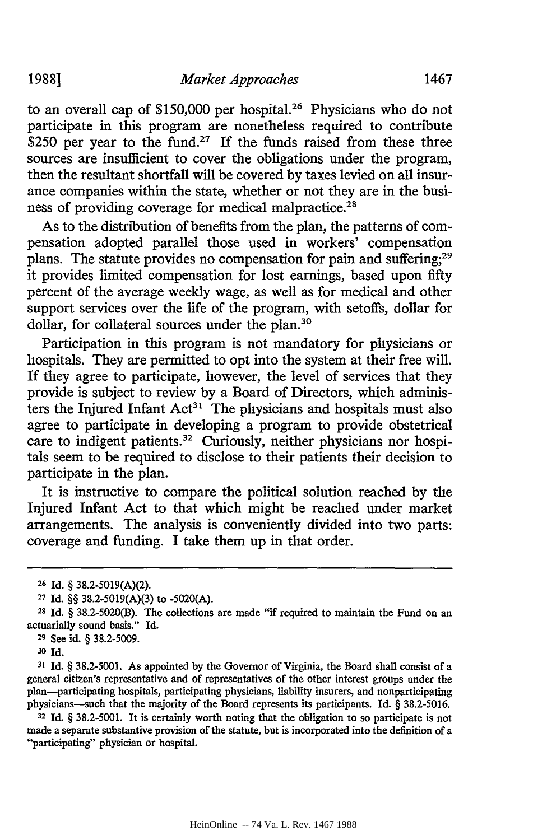to an overall cap of \$150,000 per hospital.<sup>26</sup> Physicians who do not participate in this program are nonetheless required to contribute \$250 per year to the fund.<sup>27</sup> If the funds raised from these three sources are insufficient to cover the obligations under the program, then the resultant shortfall will be covered by taxes levied on all insurance companies within the state, whether or not they are in the business of providing coverage for medical malpractice.28

As to the distribution of benefits from the plan, the patterns of compensation adopted parallel those used in workers' compensation plans. The statute provides no compensation for pain and suffering;<sup>29</sup> it provides limited compensation for lost earnings, based upon fifty percent of the average weekly wage, as well as for medical and other support services over the life of the program, with setoffs, dollar for dollar, for collateral sources under the plan.<sup>30</sup>

Participation in this program is not mandatory for physicians or hospitals. They are permitted to opt into the system at their free will. If they agree to participate, however, the level of services that they provide is subject to review by a Board of Directors, which administers the Injured Infant  $Act^{31}$  The physicians and hospitals must also agree to participate in developing a program to provide obstetrical care to indigent patients.<sup>32</sup> Curiously, neither physicians nor hospitals seem to be required to disclose to their patients their decision to participate in the plan.

It is instructive to compare the political solution reached by the Injured Infant Act to that which might be reached under market arrangements. The analysis is conveniently divided into two parts: coverage and funding. I take them up in that order.

**31** Id. § 38.2-5001. As appointed by the Governor of Virginia, the Board shall consist of a general citizen's representative and of representatives of the other interest groups under the plan-participating hospitals, participating physicians, liability insurers, and nonparticipating physicians-such that the majority of the Board represents its participants. Id. § 38.2-5016.

**<sup>32</sup>**Id. § 38.2-5001. It is certainly worth noting that the obligation to so participate is not made a separate substantive provision of the statute, but is incorporated into the definition of a "participating" physician or hospital.

**<sup>26</sup>**Id. § 38.2-5019(A)(2).

**<sup>27</sup>**Id. §§ 38.2-5019(A)(3) to -5020(A).

**<sup>28</sup>**Id. § 38.2-5020(B). The collections are made "if required to maintain the Fund on an actuarially sound basis." Id.

**<sup>29</sup>**See id. § 38.2-5009.

**<sup>30</sup>**Id.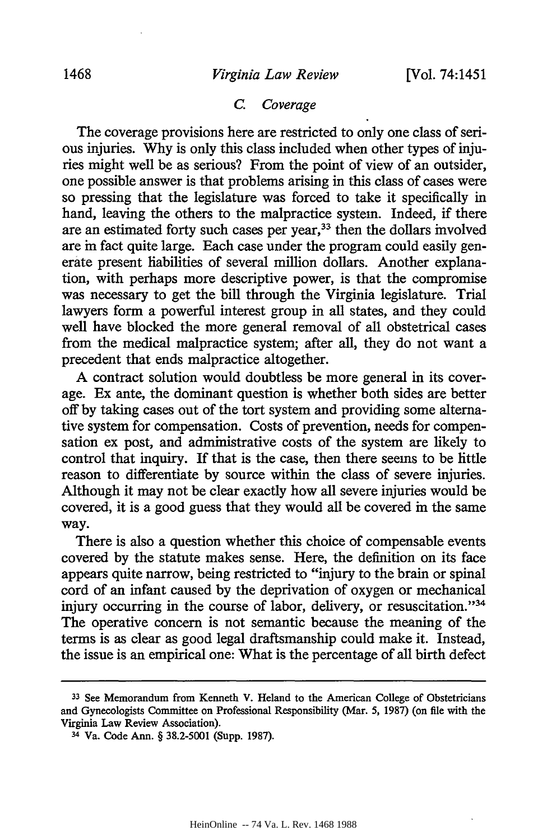#### **C.** *Coverage*

The coverage provisions here are restricted to only one class of serious injuries. Why is only this class included when other types of injuries might well be as serious? From the point of view of an outsider, one possible answer is that problems arising in this class of cases were so pressing that the legislature was forced to take it specifically in hand, leaving the others to the malpractice system. Indeed, if there are an estimated forty such cases per year,<sup>33</sup> then the dollars involved are in fact quite large. Each case under the program could easily generate present liabilities of several million dollars. Another explanation, with perhaps more descriptive power, is that the compromise was necessary to get the bill through the Virginia legislature. Trial lawyers form a powerful interest group in all states, and they could well have blocked the more general removal of all obstetrical cases from the medical malpractice system; after all, they do not want a precedent that ends malpractice altogether.

A contract solution would doubtless be more general in its coverage. Ex ante, the dominant question is whether both sides are better off by taking cases out of the tort system and providing some alternative system for compensation. Costs of prevention, needs for compensation ex post, and administrative costs of the system are likely to control that inquiry. If that is the case, then there seems to be little reason to differentiate by source within the class of severe injuries. Although it may not be clear exactly how all severe injuries would be covered, it is a good guess that they would all be covered in the same way.

There is also a question whether this choice of compensable events covered by the statute makes sense. Here, the definition on its face appears quite narrow, being restricted to "injury to the brain or spinal cord of an infant caused by the deprivation of oxygen or mechanical injury occurring in the course of labor, delivery, or resuscitation."<sup>34</sup> The operative concern is not semantic because the meaning of the terms is as clear as good legal draftsmanship could make it. Instead, the issue is an empirical one: What is the percentage of all birth defect

<sup>&</sup>lt;sup>33</sup> See Memorandum from Kenneth V. Heland to the American College of Obstetricians and Gynecologists Committee on Professional Responsibility (Mar. 5, 1987) (on file with the Virginia Law Review Association).

<sup>34</sup>Va. Code Ann. § 38.2-5001 (Supp. 1987).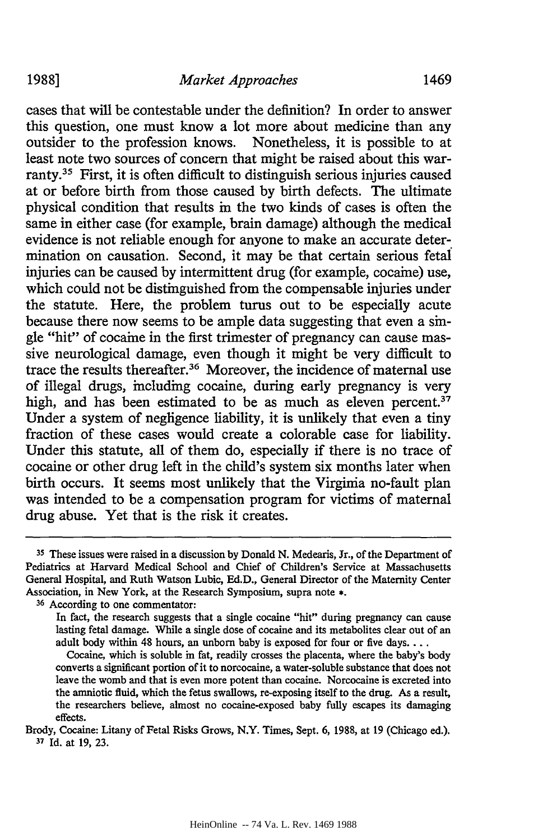cases that will be contestable under the definition? In order to answer this question, one must know a lot more about medicine than any outsider to the profession knows. Nonetheless, it is possible to at least note two sources of concern that might be raised about this warranty.<sup>35</sup> First, it is often difficult to distinguish serious injuries caused at or before birth from those caused by birth defects. The ultimate physical condition that results in the two kinds of cases is often the same in either case (for example, brain damage) although the medical evidence is not reliable enough for anyone to make an accurate determination on causation. Second, it may be that certain serious fetal injuries can be caused by intermittent drug (for example, cocaine) use, which could not be distinguished from the compensable injuries under the statute. Here, the problem turns out to be especially acute because there now seems to be ample data suggesting that even a single "hit" of cocaine in the first trimester of pregnancy can cause massive neurological damage, even though it might be very difficult to trace the results thereafter.36 Moreover, the incidence of maternal use of illegal drugs, including cocaine, during early pregnancy is very high, and has been estimated to be as much as eleven percent.<sup>37</sup> Under a system of negligence liability, it is unlikely that even a tiny fraction of these cases would create a colorable case for liability. Under this statute, all of them do, especially if there is no trace of cocaine or other drug left in the child's system six months later when birth occurs. It seems most unlikely that the Virginia no-fault plan was intended to be a compensation program for victims of maternal drug abuse. Yet that is the risk it creates.

**<sup>35</sup>**These issues were raised in a discussion by Donald N. Medearis, Jr., of the Department of Pediatrics at Harvard Medical School and Chief of Children's Service at Massachusetts General Hospital, and Ruth Watson Lubic, Ed.D., General Director of the Maternity Center Association, in New York, at the Research Symposium, supra note \*.

**<sup>36</sup>**According to one commentator:

In fact, the research suggests that a single cocaine "hit" during pregnancy can cause lasting fetal damage. While a single dose of cocaine and its metabolites clear out of an adult body within 48 hours, an unborn baby is exposed for four or five days....

Cocaine, which is soluble in fat, readily crosses the placenta, where the baby's body converts a significant portion of it to norcocaine, a water-soluble substance that does not leave the womb and that is even more potent than cocaine. Norcocaine is excreted into the amniotic fluid, which the fetus swallows, re-exposing itself to the drug. As a result, the researchers believe, almost no cocaine-exposed baby fully escapes its damaging effects.

Brody, Cocaine: Litany of Fetal Risks Grows, N.Y. Times, Sept. **6,** 1988, at 19 (Chicago ed.). **<sup>37</sup>**Id. at **19,** 23.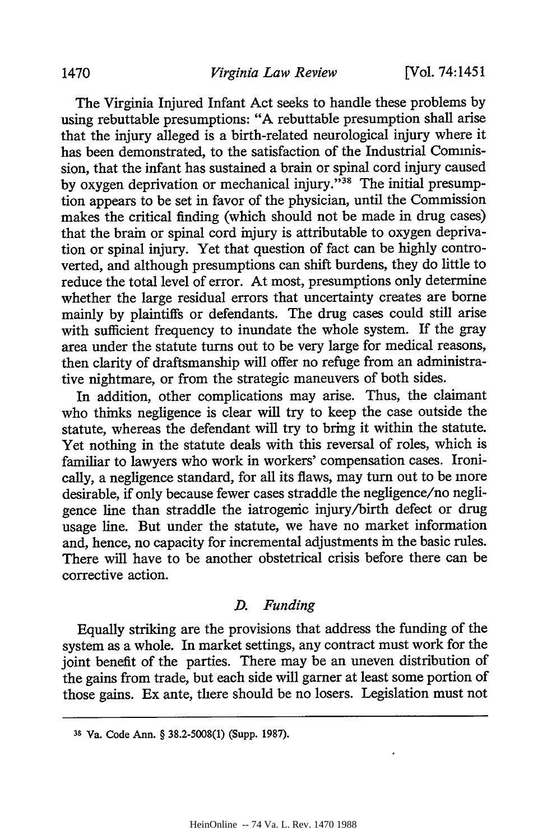The Virginia Injured Infant Act seeks to handle these problems by using rebuttable presumptions: "A rebuttable presumption shall arise that the injury alleged is a birth-related neurological injury where it has been demonstrated, to the satisfaction of the Industrial Commission, that the infant has sustained a brain or spinal cord injury caused by oxygen deprivation or mechanical injury."<sup>38</sup> The initial presumption appears to be set in favor of the physician, until the Commission makes the critical finding (which should not be made in drug cases) that the brain or spinal cord injury is attributable to oxygen deprivation or spinal injury. Yet that question of fact can be highly controverted, and although presumptions can shift burdens, they do little to reduce the total level of error. At most, presumptions only determine whether the large residual errors that uncertainty creates are borne mainly by plaintiffs or defendants. The drug cases could still arise with sufficient frequency to inundate the whole system. If the gray area under the statute turns out to be very large for medical reasons, then clarity of draftsmanship will offer no refuge from an administrative nightmare, or from the strategic maneuvers of both sides.

In addition, other complications may arise. Thus, the claimant who thinks negligence is clear will try to keep the case outside the statute, whereas the defendant will try to bring it within the statute. Yet nothing in the statute deals with this reversal of roles, which is familiar to lawyers who work in workers' compensation cases. Ironically, a negligence standard, for all its flaws, may turn out to be more desirable, if only because fewer cases straddle the negligence/no negligence line than straddle the iatrogenic injury/birth defect or drug usage line. But under the statute, we have no market information and, hence, no capacity for incremental adjustments in the basic rules. There will have to be another obstetrical crisis before there can be corrective action.

#### *D. Funding*

Equally striking are the provisions that address the funding of the system as a whole. In market settings, any contract must work for the joint benefit of the parties. There may be an uneven distribution of the gains from trade, but each side will garner at least some portion of those gains. Ex ante, there should be no losers. Legislation must not

**<sup>38</sup>**Va. Code Ann. § 38.2-5008(1) (Supp. 1987).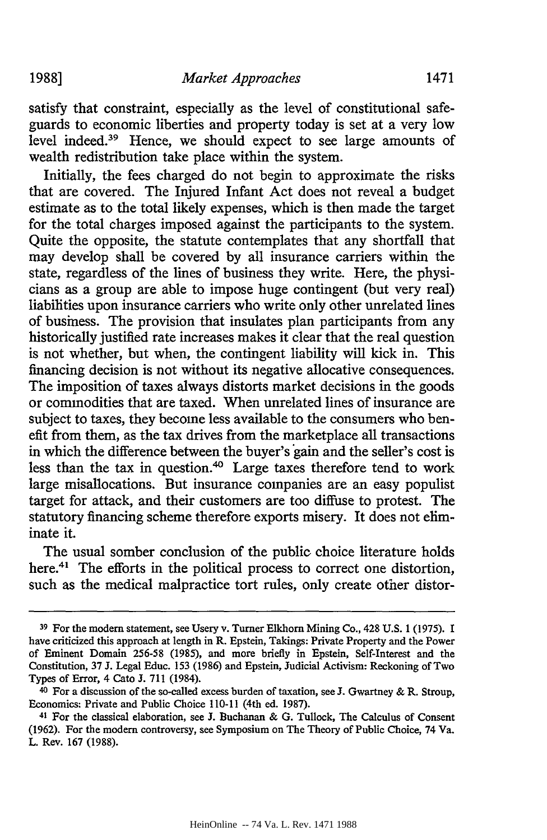satisfy that constraint, especially as the level of constitutional safeguards to economic liberties and property today is set at a very low level indeed.<sup>39</sup> Hence, we should expect to see large amounts of wealth redistribution take place within the system.

Initially, the fees charged do not begin to approximate the risks that are covered. The Injured Infant Act does not reveal a budget estimate as to the total likely expenses, which is then made the target for the total charges imposed against the participants to the system. Quite the opposite, the statute contemplates that any shortfall that may develop shall be covered by all insurance carriers within the state, regardless of the lines of business they write. Here, the physicians as a group are able to impose huge contingent (but very real) liabilities upon insurance carriers who write only other unrelated lines of business. The provision that insulates plan participants from any historically justified rate increases makes it clear that the real question is not whether, but when, the contingent liability will kick in. This financing decision is not without its negative allocative consequences. The imposition of taxes always distorts market decisions in the goods or commodities that are taxed. When unrelated lines of insurance are subject to taxes, they become less available to the consumers who benefit from them, as the tax drives from the marketplace all transactions in which the difference between the buyer's gain and the seller's cost is less than the tax in question.<sup>40</sup> Large taxes therefore tend to work large misallocations. But insurance companies are an easy populist target for attack, and their customers are too diffuse to protest. The statutory financing scheme therefore exports misery. It does not eliminate it.

The usual somber conclusion of the public choice literature holds here.<sup>41</sup> The efforts in the political process to correct one distortion, such as the medical malpractice tort rules, only create other distor-

**<sup>39</sup>**For the modem statement, see Usery v. Turner Elkhorn Mining Co., 428 U.S. 1 (1975). I have criticized this approach at length in R. Epstein, Takings: Private Property and the Power of Eminent Domain 256-58 (1985), and more briefly in Epstein, Self-Interest and the Constitution, 37 J. Legal Educ. 153 (1986) and Epstein, Judicial Activism: Reckoning of Two Types of Error, 4 Cato J. 711 (1984).

**<sup>40</sup>**For a discussion of the so-called excess burden of taxation, see J. Gwartney & R. Stroup, Economics: Private and Public Choice 110-11 (4th ed. 1987).

<sup>41</sup> For the classical elaboration, see J. Buchanan & G. Tullock, The Calculus of Consent (1962). For the modem controversy, see Symposium on The Theory of Public Choice, 74 Va. L. Rev. 167 (1988).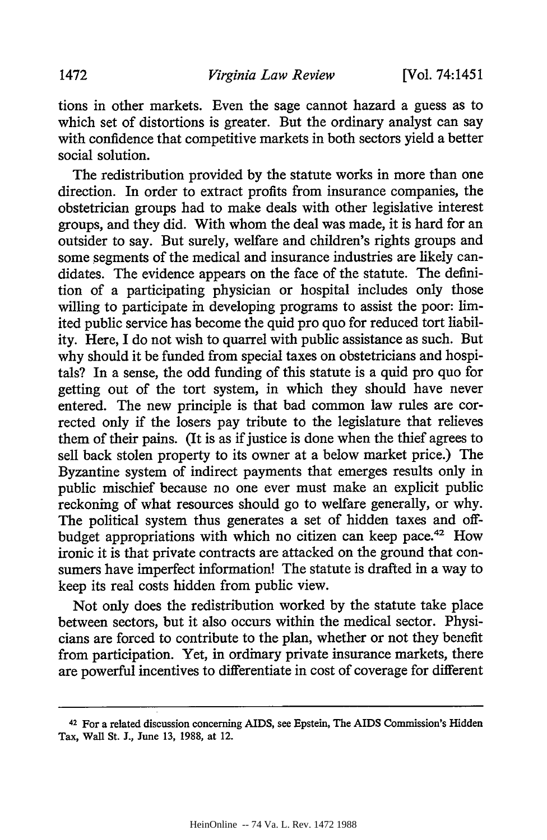tions in other markets. Even the sage cannot hazard a guess as to which set of distortions is greater. But the ordinary analyst can say with confidence that competitive markets in both sectors yield a better social solution.

The redistribution provided by the statute works in more than one direction. In order to extract profits from insurance companies, the obstetrician groups had to make deals with other legislative interest groups, and they did. With whom the deal was made, it is hard for an outsider to say. But surely, welfare and children's rights groups and some segments of the medical and insurance industries are likely candidates. The evidence appears on the face of the statute. The definition of a participating physician or hospital includes only those willing to participate in developing programs to assist the poor: limited public service has become the quid pro quo for reduced tort liability. Here, I do not wish to quarrel with public assistance as such. But why should it be funded from special taxes on obstetricians and hospitals? In a sense, the odd funding of this statute is a quid pro quo for getting out of the tort system, in which they should have never entered. The new principle is that bad common law rules are corrected only if the losers pay tribute to the legislature that relieves them of their pains. (It is as if justice is done when the thief agrees to sell back stolen property to its owner at a below market price.) The Byzantine system of indirect payments that emerges results only in public mischief because no one ever must make an explicit public reckoning of what resources should go to welfare generally, or why. The political system thus generates a set of hidden taxes and offbudget appropriations with which no citizen can keep pace.<sup>42</sup> How ironic it is that private contracts are attacked on the ground that consumers have imperfect information! The statute is drafted in a way to keep its real costs hidden from public view.

Not only does the redistribution worked by the statute take place between sectors, but it also occurs within the medical sector. Physicians are forced to contribute to the plan, whether or not they benefit from participation. Yet, in ordinary private insurance markets, there are powerful incentives to differentiate in cost of coverage for different

<sup>42</sup>For a related discussion concerning AIDS, see Epstein, The AIDS Commission's Hidden Tax, Wall St. J., June 13, 1988, at 12.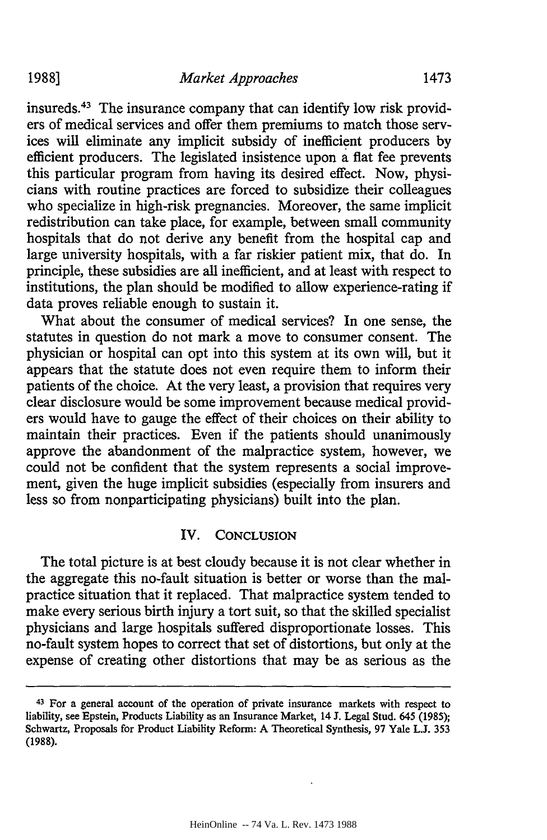insureds.43 The insurance company that can identify low risk providers of medical services and offer them premiums to match those services will eliminate any implicit subsidy of inefficient producers by efficient producers. The legislated insistence upon a flat fee prevents this particular program from having its desired effect. Now, physicians with routine practices are forced to subsidize their colleagues who specialize in high-risk pregnancies. Moreover, the same implicit redistribution can take place, for example, between small community hospitals that do not derive any benefit from the hospital cap and large university hospitals, with a far riskier patient mix, that do. In principle, these subsidies are all inefficient, and at least with respect to institutions, the plan should be modified to allow experience-rating if data proves reliable enough to sustain it.

What about the consumer of medical services? In one sense, the statutes in question do not mark a move to consumer consent. The physician or hospital can opt into this system at its own will, but it appears that the statute does not even require them to inform their patients of the choice. At the very least, a provision that requires very clear disclosure would be some improvement because medical providers would have to gauge the effect of their choices on their ability to maintain their practices. Even if the patients should unanimously approve the abandonment of the malpractice system, however, we could not be confident that the system represents a social improvement, given the huge implicit subsidies (especially from insurers and less so from nonparticipating physicians) built into the plan.

## IV. **CONCLUSION**

The total picture is at best cloudy because it is not clear whether in the aggregate this no-fault situation is better or worse than the malpractice situation that it replaced. That malpractice system tended to make every serious birth injury a tort suit, so that the skilled specialist physicians and large hospitals suffered disproportionate losses. This no-fault system hopes to correct that set of distortions, but only at the expense of creating other distortions that may be as serious as the

<sup>43</sup>For a general account of the operation of private insurance markets with respect to liability, see Epstein, Products Liability as an Insurance Market, 14 **J.** Legal Stud. 645 **(1985);** Schwartz, Proposals for Product Liability Reform: **A** Theoretical Synthesis, **97** Yale **L.J. 353** (1988).